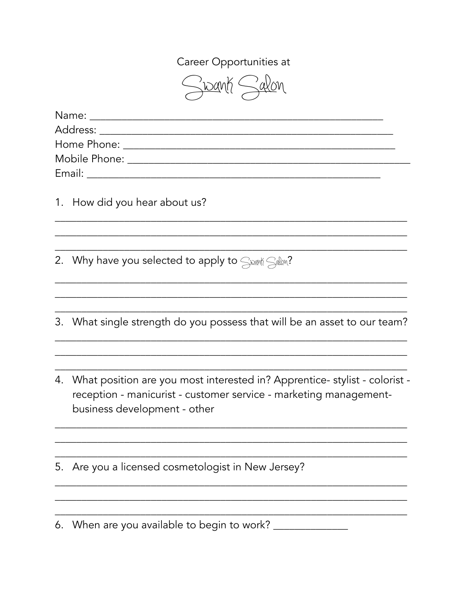Career Opportunities at

Swant Salon

|    | 1. How did you hear about us?                                                                                                                                                   |
|----|---------------------------------------------------------------------------------------------------------------------------------------------------------------------------------|
| 2. | Why have you selected to apply to $\leq_{\text{max}}$ $\leq_{\text{max}}$ ?                                                                                                     |
| 3. | What single strength do you possess that will be an asset to our team?                                                                                                          |
| 4. | What position are you most interested in? Apprentice- stylist - colorist -<br>reception - manicurist - customer service - marketing management-<br>business development - other |
| 5. | Are you a licensed cosmetologist in New Jersey?                                                                                                                                 |

6. When are you available to begin to work?